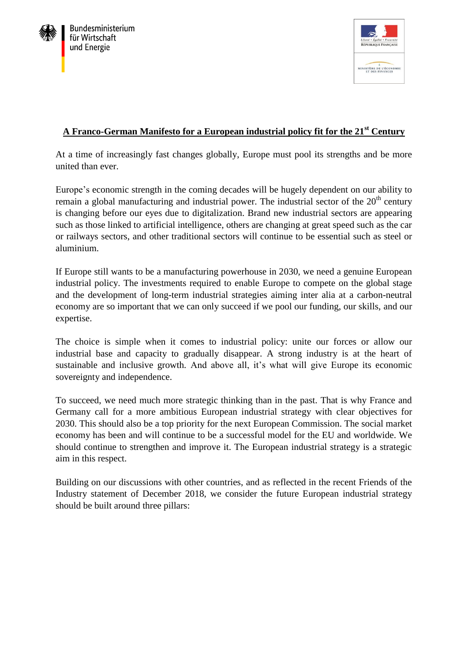



# **A Franco-German Manifesto for a European industrial policy fit for the 21st Century**

At a time of increasingly fast changes globally, Europe must pool its strengths and be more united than ever.

Europe's economic strength in the coming decades will be hugely dependent on our ability to remain a global manufacturing and industrial power. The industrial sector of the  $20<sup>th</sup>$  century is changing before our eyes due to digitalization. Brand new industrial sectors are appearing such as those linked to artificial intelligence, others are changing at great speed such as the car or railways sectors, and other traditional sectors will continue to be essential such as steel or aluminium.

If Europe still wants to be a manufacturing powerhouse in 2030, we need a genuine European industrial policy. The investments required to enable Europe to compete on the global stage and the development of long-term industrial strategies aiming inter alia at a carbon-neutral economy are so important that we can only succeed if we pool our funding, our skills, and our expertise.

The choice is simple when it comes to industrial policy: unite our forces or allow our industrial base and capacity to gradually disappear. A strong industry is at the heart of sustainable and inclusive growth. And above all, it's what will give Europe its economic sovereignty and independence.

To succeed, we need much more strategic thinking than in the past. That is why France and Germany call for a more ambitious European industrial strategy with clear objectives for 2030. This should also be a top priority for the next European Commission. The social market economy has been and will continue to be a successful model for the EU and worldwide. We should continue to strengthen and improve it. The European industrial strategy is a strategic aim in this respect.

Building on our discussions with other countries, and as reflected in the recent Friends of the Industry statement of December 2018, we consider the future European industrial strategy should be built around three pillars: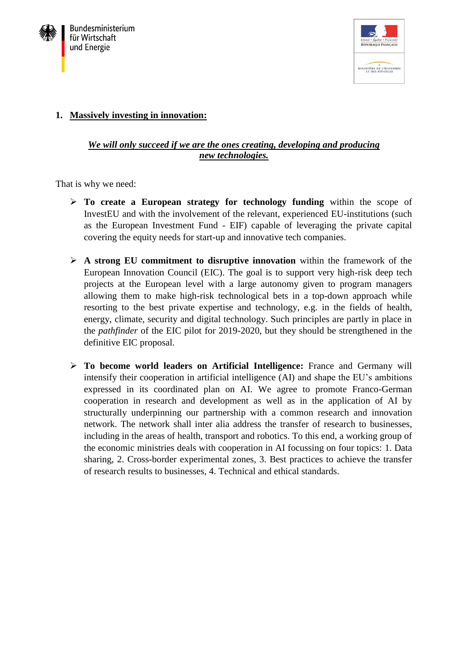



## **1. Massively investing in innovation:**

## *We will only succeed if we are the ones creating, developing and producing new technologies.*

That is why we need:

- **To create a European strategy for technology funding** within the scope of InvestEU and with the involvement of the relevant, experienced EU-institutions (such as the European Investment Fund - EIF) capable of leveraging the private capital covering the equity needs for start-up and innovative tech companies.
- **A strong EU commitment to disruptive innovation** within the framework of the European Innovation Council (EIC). The goal is to support very high-risk deep tech projects at the European level with a large autonomy given to program managers allowing them to make high-risk technological bets in a top-down approach while resorting to the best private expertise and technology, e.g. in the fields of health, energy, climate, security and digital technology. Such principles are partly in place in the *pathfinder* of the EIC pilot for 2019-2020, but they should be strengthened in the definitive EIC proposal.
- **To become world leaders on Artificial Intelligence:** France and Germany will intensify their cooperation in artificial intelligence (AI) and shape the EU's ambitions expressed in its coordinated plan on AI. We agree to promote Franco-German cooperation in research and development as well as in the application of AI by structurally underpinning our partnership with a common research and innovation network. The network shall inter alia address the transfer of research to businesses, including in the areas of health, transport and robotics. To this end, a working group of the economic ministries deals with cooperation in AI focussing on four topics: 1. Data sharing, 2. Cross-border experimental zones, 3. Best practices to achieve the transfer of research results to businesses, 4. Technical and ethical standards.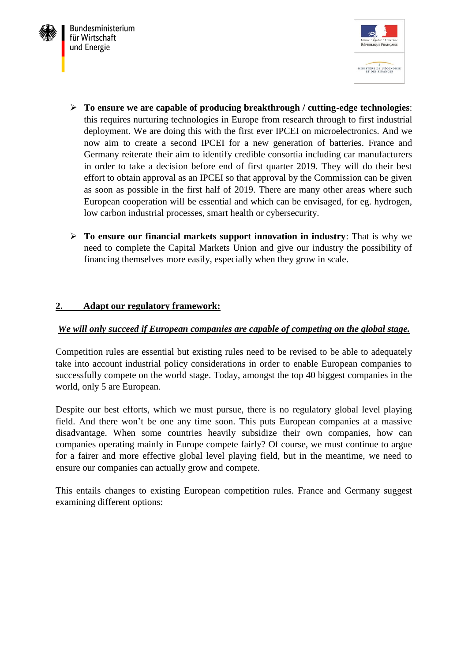



- **To ensure we are capable of producing breakthrough / cutting-edge technologies**: this requires nurturing technologies in Europe from research through to first industrial deployment. We are doing this with the first ever IPCEI on microelectronics. And we now aim to create a second IPCEI for a new generation of batteries. France and Germany reiterate their aim to identify credible consortia including car manufacturers in order to take a decision before end of first quarter 2019. They will do their best effort to obtain approval as an IPCEI so that approval by the Commission can be given as soon as possible in the first half of 2019. There are many other areas where such European cooperation will be essential and which can be envisaged, for eg. hydrogen, low carbon industrial processes, smart health or cybersecurity.
- **To ensure our financial markets support innovation in industry**: That is why we need to complete the Capital Markets Union and give our industry the possibility of financing themselves more easily, especially when they grow in scale.

#### **2. Adapt our regulatory framework:**

#### *We will only succeed if European companies are capable of competing on the global stage.*

Competition rules are essential but existing rules need to be revised to be able to adequately take into account industrial policy considerations in order to enable European companies to successfully compete on the world stage. Today, amongst the top 40 biggest companies in the world, only 5 are European.

Despite our best efforts, which we must pursue, there is no regulatory global level playing field. And there won't be one any time soon. This puts European companies at a massive disadvantage. When some countries heavily subsidize their own companies, how can companies operating mainly in Europe compete fairly? Of course, we must continue to argue for a fairer and more effective global level playing field, but in the meantime, we need to ensure our companies can actually grow and compete.

This entails changes to existing European competition rules. France and Germany suggest examining different options: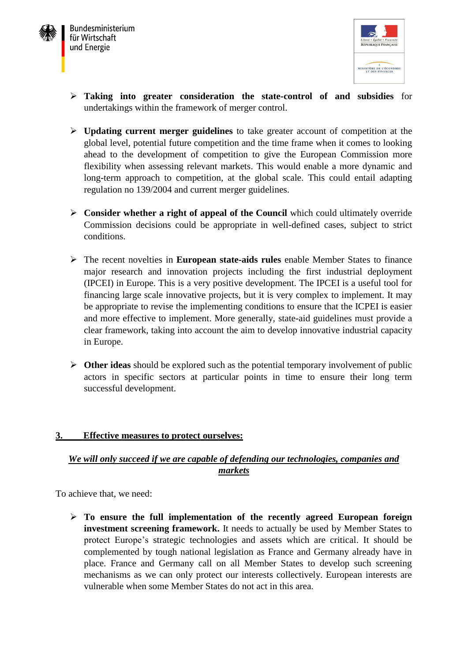



- **Taking into greater consideration the state-control of and subsidies** for undertakings within the framework of merger control.
- **Updating current merger guidelines** to take greater account of competition at the global level, potential future competition and the time frame when it comes to looking ahead to the development of competition to give the European Commission more flexibility when assessing relevant markets. This would enable a more dynamic and long-term approach to competition, at the global scale. This could entail adapting regulation no 139/2004 and current merger guidelines.
- **Consider whether a right of appeal of the Council** which could ultimately override Commission decisions could be appropriate in well-defined cases, subject to strict conditions.
- The recent novelties in **European state-aids rules** enable Member States to finance major research and innovation projects including the first industrial deployment (IPCEI) in Europe. This is a very positive development. The IPCEI is a useful tool for financing large scale innovative projects, but it is very complex to implement. It may be appropriate to revise the implementing conditions to ensure that the ICPEI is easier and more effective to implement. More generally, state-aid guidelines must provide a clear framework, taking into account the aim to develop innovative industrial capacity in Europe.
- **Other ideas** should be explored such as the potential temporary involvement of public actors in specific sectors at particular points in time to ensure their long term successful development.

#### **3. Effective measures to protect ourselves:**

# *We will only succeed if we are capable of defending our technologies, companies and markets*

To achieve that, we need:

 **To ensure the full implementation of the recently agreed European foreign investment screening framework.** It needs to actually be used by Member States to protect Europe's strategic technologies and assets which are critical. It should be complemented by tough national legislation as France and Germany already have in place. France and Germany call on all Member States to develop such screening mechanisms as we can only protect our interests collectively. European interests are vulnerable when some Member States do not act in this area.